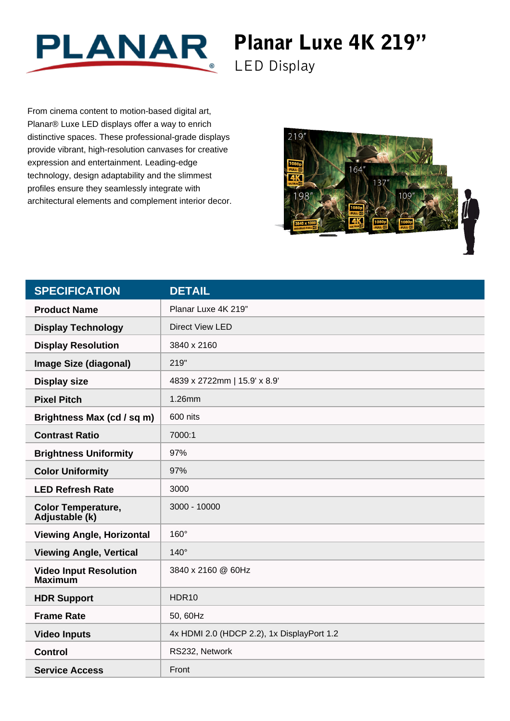

## Planar Luxe 4K 219"

LED Display

From cinema content to motion-based digital art, Planar® Luxe LED displays offer a way to enrich distinctive spaces. These professional-grade displays provide vibrant, high-resolution canvases for creative expression and entertainment. Leading-edge technology, design adaptability and the slimmest profiles ensure they seamlessly integrate with architectural elements and complement interior decor.



| <b>SPECIFICATION</b>                            | <b>DETAIL</b>                              |
|-------------------------------------------------|--------------------------------------------|
| <b>Product Name</b>                             | Planar Luxe 4K 219"                        |
| <b>Display Technology</b>                       | <b>Direct View LED</b>                     |
| <b>Display Resolution</b>                       | 3840 x 2160                                |
| <b>Image Size (diagonal)</b>                    | 219"                                       |
| <b>Display size</b>                             | 4839 x 2722mm   15.9' x 8.9'               |
| <b>Pixel Pitch</b>                              | 1.26mm                                     |
| Brightness Max (cd / sq m)                      | 600 nits                                   |
| <b>Contrast Ratio</b>                           | 7000:1                                     |
| <b>Brightness Uniformity</b>                    | 97%                                        |
| <b>Color Uniformity</b>                         | 97%                                        |
| <b>LED Refresh Rate</b>                         | 3000                                       |
| <b>Color Temperature,</b><br>Adjustable (k)     | 3000 - 10000                               |
| <b>Viewing Angle, Horizontal</b>                | 160°                                       |
| <b>Viewing Angle, Vertical</b>                  | $140^\circ$                                |
| <b>Video Input Resolution</b><br><b>Maximum</b> | 3840 x 2160 @ 60Hz                         |
| <b>HDR Support</b>                              | HDR10                                      |
| <b>Frame Rate</b>                               | 50, 60Hz                                   |
| <b>Video Inputs</b>                             | 4x HDMI 2.0 (HDCP 2.2), 1x DisplayPort 1.2 |
| <b>Control</b>                                  | RS232, Network                             |
| <b>Service Access</b>                           | Front                                      |